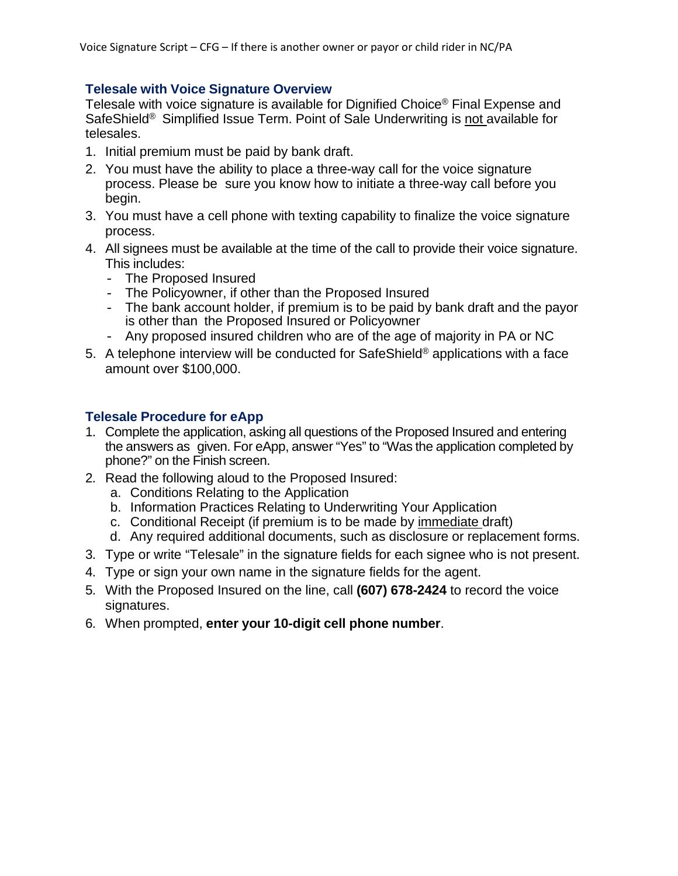#### **Telesale with Voice Signature Overview**

Telesale with voice signature is available for Dignified Choice® Final Expense and SafeShield® Simplified Issue Term. Point of Sale Underwriting is not available for telesales.

- 1. Initial premium must be paid by bank draft.
- 2. You must have the ability to place a three-way call for the voice signature process. Please be sure you know how to initiate a three-way call before you begin.
- 3. You must have a cell phone with texting capability to finalize the voice signature process.
- 4. All signees must be available at the time of the call to provide their voice signature. This includes:
	- The Proposed Insured
	- The Policyowner, if other than the Proposed Insured
	- The bank account holder, if premium is to be paid by bank draft and the payor is other than the Proposed Insured or Policyowner
	- Any proposed insured children who are of the age of majority in PA or NC
- 5. A telephone interview will be conducted for SafeShield<sup>®</sup> applications with a face amount over \$100,000.

#### **Telesale Procedure for eApp**

- 1. Complete the application, asking all questions of the Proposed Insured and entering the answers as given. For eApp, answer "Yes" to "Was the application completed by phone?" on the Finish screen.
- 2. Read the following aloud to the Proposed Insured:
	- a. Conditions Relating to the Application
	- b. Information Practices Relating to Underwriting Your Application
	- c. Conditional Receipt (if premium is to be made by immediate draft)
	- d. Any required additional documents, such as disclosure or replacement forms.
- 3. Type or write "Telesale" in the signature fields for each signee who is not present.
- 4. Type or sign your own name in the signature fields for the agent.
- 5. With the Proposed Insured on the line, call **(607) 678-2424** to record the voice signatures.
- 6. When prompted, **enter your 10-digit cell phone number**.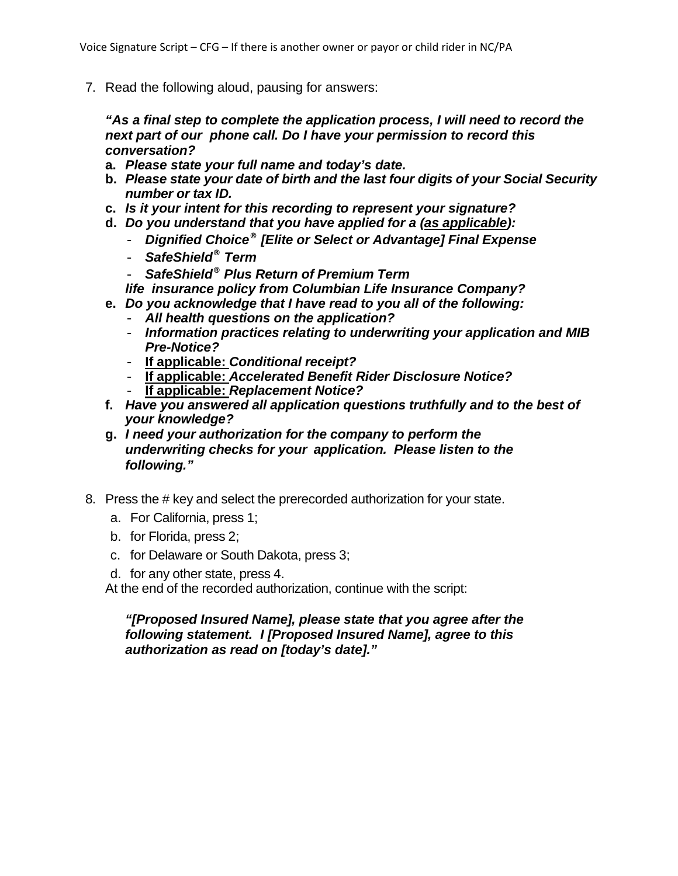7. Read the following aloud, pausing for answers:

*"As a final step to complete the application process, I will need to record the next part of our phone call. Do I have your permission to record this conversation?*

- **a.** *Please state your full name and today's date.*
- **b.** *Please state your date of birth and the last four digits of your Social Security number or tax ID.*
- **c.** *Is it your intent for this recording to represent your signature?*
- **d.** *Do you understand that you have applied for a (as applicable):*
	- *Dignified Choice® [Elite or Select or Advantage] Final Expense*
	- *SafeShield® Term*
	- *SafeShield® Plus Return of Premium Term*

*life insurance policy from Columbian Life Insurance Company?*

- **e.** *Do you acknowledge that I have read to you all of the following:*
	- *All health questions on the application?*
	- *Information practices relating to underwriting your application and MIB Pre-Notice?*
	- **If applicable:** *Conditional receipt?*
	- **If applicable:** *Accelerated Benefit Rider Disclosure Notice?*
	- **If applicable:** *Replacement Notice?*
- **f.** *Have you answered all application questions truthfully and to the best of your knowledge?*
- **g.** *I need your authorization for the company to perform the underwriting checks for your application. Please listen to the following."*
- 8. Press the # key and select the prerecorded authorization for your state.
	- a. For California, press 1;
	- b. for Florida, press 2;
	- c. for Delaware or South Dakota, press 3;
	- d. for any other state, press 4.

At the end of the recorded authorization, continue with the script:

#### *"[Proposed Insured Name], please state that you agree after the following statement. I [Proposed Insured Name], agree to this authorization as read on [today's date]."*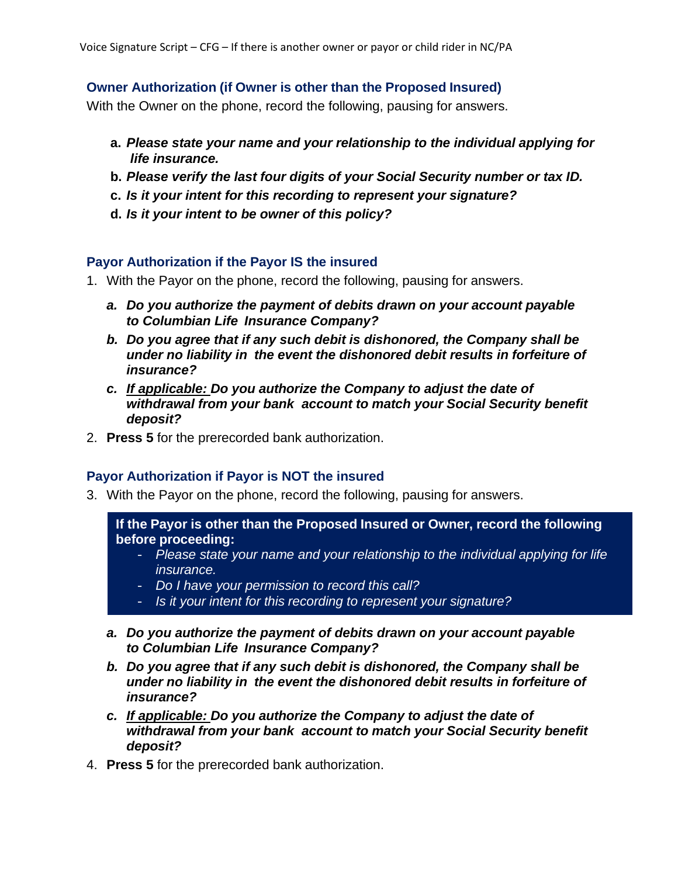## **Owner Authorization (if Owner is other than the Proposed Insured)**

With the Owner on the phone, record the following, pausing for answers.

- **a.** *Please state your name and your relationship to the individual applying for life insurance.*
- **b.** *Please verify the last four digits of your Social Security number or tax ID.*
- **c.** *Is it your intent for this recording to represent your signature?*
- **d.** *Is it your intent to be owner of this policy?*

## **Payor Authorization if the Payor IS the insured**

- 1. With the Payor on the phone, record the following, pausing for answers.
	- *a. Do you authorize the payment of debits drawn on your account payable to Columbian Life Insurance Company?*
	- *b. Do you agree that if any such debit is dishonored, the Company shall be under no liability in the event the dishonored debit results in forfeiture of insurance?*
	- *c. If applicable: Do you authorize the Company to adjust the date of withdrawal from your bank account to match your Social Security benefit deposit?*
- 2. **Press 5** for the prerecorded bank authorization.

# **Payor Authorization if Payor is NOT the insured**

3. With the Payor on the phone, record the following, pausing for answers.

**If the Payor is other than the Proposed Insured or Owner, record the following before proceeding:**

- *Please state your name and your relationship to the individual applying for life insurance.*
- *Do I have your permission to record this call?*
- *Is it your intent for this recording to represent your signature?*
- *a. Do you authorize the payment of debits drawn on your account payable to Columbian Life Insurance Company?*
- *b. Do you agree that if any such debit is dishonored, the Company shall be under no liability in the event the dishonored debit results in forfeiture of insurance?*
- *c. If applicable: Do you authorize the Company to adjust the date of withdrawal from your bank account to match your Social Security benefit deposit?*
- 4. **Press 5** for the prerecorded bank authorization.